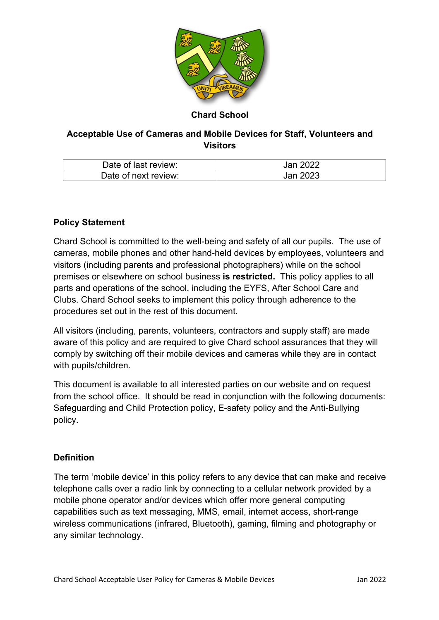

# **Chard School**

# **Acceptable Use of Cameras and Mobile Devices for Staff, Volunteers and Visitors**

| Date of last review: | Jan 2022 |
|----------------------|----------|
| Date of next review: | Jan 2023 |

## **Policy Statement**

Chard School is committed to the well-being and safety of all our pupils. The use of cameras, mobile phones and other hand-held devices by employees, volunteers and visitors (including parents and professional photographers) while on the school premises or elsewhere on school business **is restricted.** This policy applies to all parts and operations of the school, including the EYFS, After School Care and Clubs. Chard School seeks to implement this policy through adherence to the procedures set out in the rest of this document.

All visitors (including, parents, volunteers, contractors and supply staff) are made aware of this policy and are required to give Chard school assurances that they will comply by switching off their mobile devices and cameras while they are in contact with pupils/children.

This document is available to all interested parties on our website and on request from the school office. It should be read in conjunction with the following documents: Safeguarding and Child Protection policy, E-safety policy and the Anti-Bullying policy.

## **Definition**

The term 'mobile device' in this policy refers to any device that can make and receive telephone calls over a radio link by connecting to a cellular network provided by a mobile phone operator and/or devices which offer more general computing capabilities such as text messaging, MMS, email, internet access, short-range wireless communications (infrared, Bluetooth), gaming, filming and photography or any similar technology.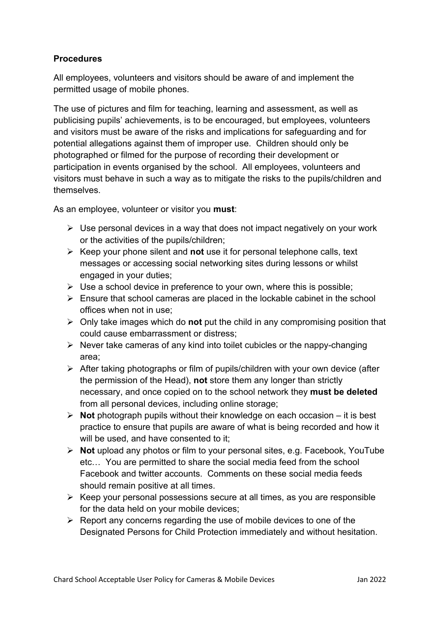## **Procedures**

All employees, volunteers and visitors should be aware of and implement the permitted usage of mobile phones.

The use of pictures and film for teaching, learning and assessment, as well as publicising pupils' achievements, is to be encouraged, but employees, volunteers and visitors must be aware of the risks and implications for safeguarding and for potential allegations against them of improper use. Children should only be photographed or filmed for the purpose of recording their development or participation in events organised by the school. All employees, volunteers and visitors must behave in such a way as to mitigate the risks to the pupils/children and themselves.

As an employee, volunteer or visitor you **must**:

- $\triangleright$  Use personal devices in a way that does not impact negatively on your work or the activities of the pupils/children;
- Ø Keep your phone silent and **not** use it for personal telephone calls, text messages or accessing social networking sites during lessons or whilst engaged in your duties;
- $\triangleright$  Use a school device in preference to your own, where this is possible;
- $\triangleright$  Ensure that school cameras are placed in the lockable cabinet in the school offices when not in use;
- Ø Only take images which do **not** put the child in any compromising position that could cause embarrassment or distress;
- $\triangleright$  Never take cameras of any kind into toilet cubicles or the nappy-changing area;
- $\triangleright$  After taking photographs or film of pupils/children with your own device (after the permission of the Head), **not** store them any longer than strictly necessary, and once copied on to the school network they **must be deleted** from all personal devices, including online storage;
- Ø **Not** photograph pupils without their knowledge on each occasion it is best practice to ensure that pupils are aware of what is being recorded and how it will be used, and have consented to it;
- Ø **Not** upload any photos or film to your personal sites, e.g. Facebook, YouTube etc… You are permitted to share the social media feed from the school Facebook and twitter accounts. Comments on these social media feeds should remain positive at all times.
- $\triangleright$  Keep your personal possessions secure at all times, as you are responsible for the data held on your mobile devices;
- $\triangleright$  Report any concerns regarding the use of mobile devices to one of the Designated Persons for Child Protection immediately and without hesitation.